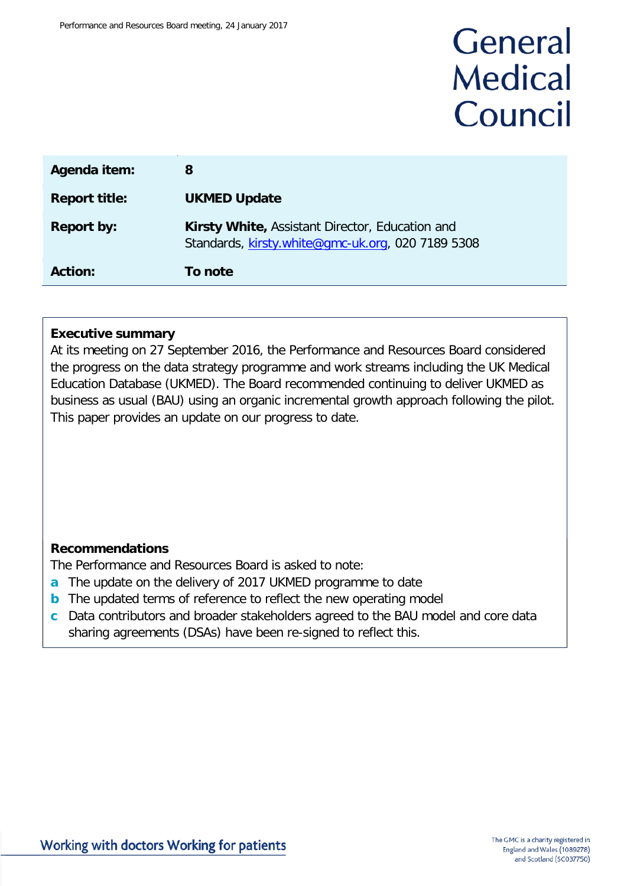# General **Medical** Council

| Agenda item:         | 8                                                                                                    |
|----------------------|------------------------------------------------------------------------------------------------------|
| <b>Report title:</b> | <b>UKMED Update</b>                                                                                  |
| <b>Report by:</b>    | Kirsty White, Assistant Director, Education and<br>Standards, kirsty.white@gmc-uk.org, 020 7189 5308 |
| <b>Action:</b>       | To note                                                                                              |

#### **Executive summary**

At its meeting on 27 September 2016, the Performance and Resources Board considered the progress on the data strategy programme and work streams including the UK Medical Education Database (UKMED). The Board recommended continuing to deliver UKMED as business as usual (BAU) using an organic incremental growth approach following the pilot. This paper provides an update on our progress to date.

#### **Recommendations**

The Performance and Resources Board is asked to note:

- **a** The update on the delivery of 2017 UKMED programme to date
- **b** The updated terms of reference to reflect the new operating model
- **c** Data contributors and broader stakeholders agreed to the BAU model and core data sharing agreements (DSAs) have been re-signed to reflect this.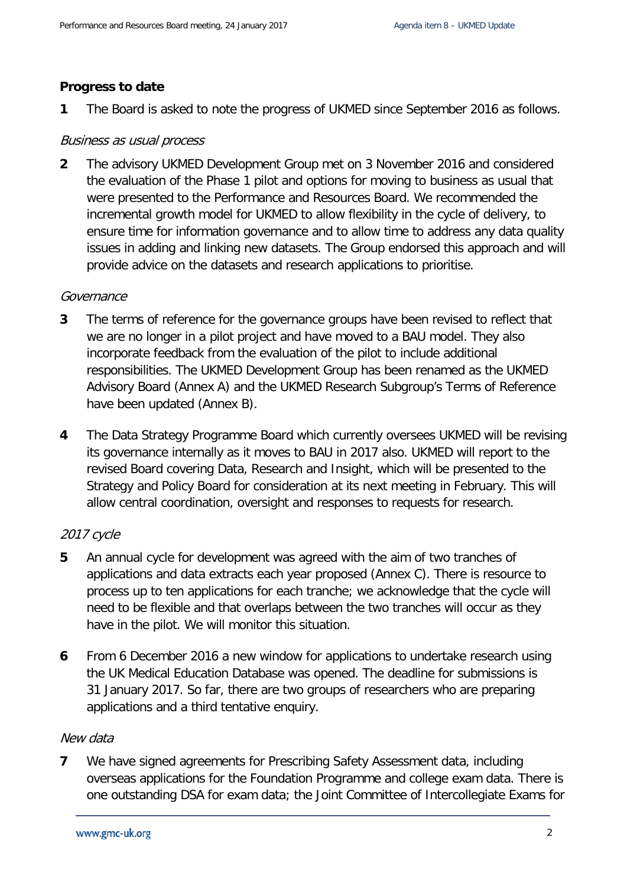#### **Progress to date**

**1** The Board is asked to note the progress of UKMED since September 2016 as follows.

#### Business as usual process

**2** The advisory UKMED Development Group met on 3 November 2016 and considered the evaluation of the Phase 1 pilot and options for moving to business as usual that were presented to the Performance and Resources Board. We recommended the incremental growth model for UKMED to allow flexibility in the cycle of delivery, to ensure time for information governance and to allow time to address any data quality issues in adding and linking new datasets. The Group endorsed this approach and will provide advice on the datasets and research applications to prioritise.

#### **Governance**

- **3** The terms of reference for the governance groups have been revised to reflect that we are no longer in a pilot project and have moved to a BAU model. They also incorporate feedback from the evaluation of the pilot to include additional responsibilities. The UKMED Development Group has been renamed as the UKMED Advisory Board (Annex A) and the UKMED Research Subgroup's Terms of Reference have been updated (Annex B).
- **4** The Data Strategy Programme Board which currently oversees UKMED will be revising its governance internally as it moves to BAU in 2017 also. UKMED will report to the revised Board covering Data, Research and Insight, which will be presented to the Strategy and Policy Board for consideration at its next meeting in February. This will allow central coordination, oversight and responses to requests for research.

#### 2017 cycle

- **5** An annual cycle for development was agreed with the aim of two tranches of applications and data extracts each year proposed (Annex C). There is resource to process up to ten applications for each tranche; we acknowledge that the cycle will need to be flexible and that overlaps between the two tranches will occur as they have in the pilot. We will monitor this situation.
- **6** From 6 December 2016 a new window for applications to undertake research using the UK Medical Education Database was opened. The deadline for submissions is 31 January 2017. So far, there are two groups of researchers who are preparing applications and a third tentative enquiry.

#### New data

**7** We have signed agreements for Prescribing Safety Assessment data, including overseas applications for the Foundation Programme and college exam data. There is one outstanding DSA for exam data; the Joint Committee of Intercollegiate Exams for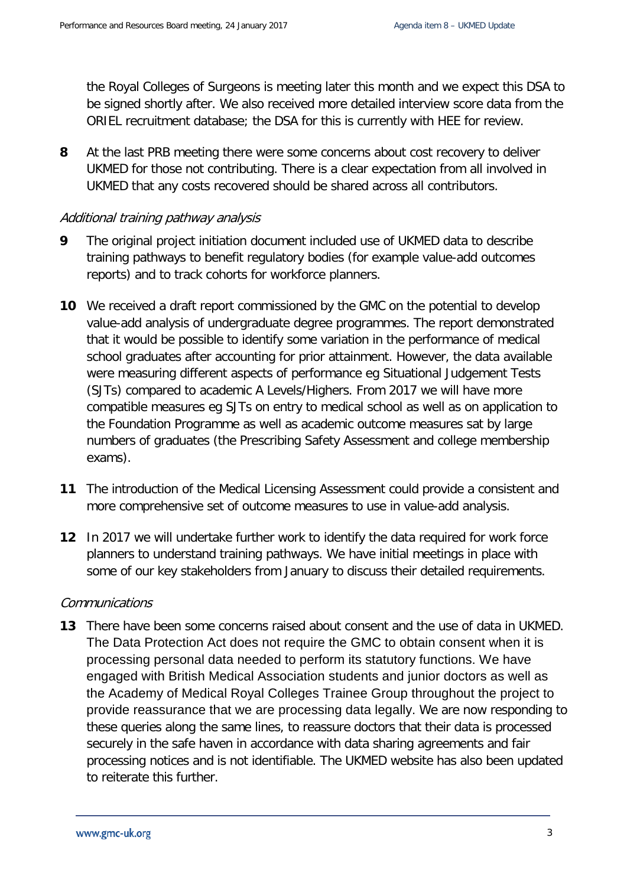the Royal Colleges of Surgeons is meeting later this month and we expect this DSA to be signed shortly after. We also received more detailed interview score data from the ORIEL recruitment database; the DSA for this is currently with HEE for review.

**8** At the last PRB meeting there were some concerns about cost recovery to deliver UKMED for those not contributing. There is a clear expectation from all involved in UKMED that any costs recovered should be shared across all contributors.

#### Additional training pathway analysis

- **9** The original project initiation document included use of UKMED data to describe training pathways to benefit regulatory bodies (for example value-add outcomes reports) and to track cohorts for workforce planners.
- **10** We received a draft report commissioned by the GMC on the potential to develop value-add analysis of undergraduate degree programmes. The report demonstrated that it would be possible to identify some variation in the performance of medical school graduates after accounting for prior attainment. However, the data available were measuring different aspects of performance eg Situational Judgement Tests (SJTs) compared to academic A Levels/Highers. From 2017 we will have more compatible measures eg SJTs on entry to medical school as well as on application to the Foundation Programme as well as academic outcome measures sat by large numbers of graduates (the Prescribing Safety Assessment and college membership exams).
- **11** The introduction of the Medical Licensing Assessment could provide a consistent and more comprehensive set of outcome measures to use in value-add analysis.
- **12** In 2017 we will undertake further work to identify the data required for work force planners to understand training pathways. We have initial meetings in place with some of our key stakeholders from January to discuss their detailed requirements.

#### Communications

**13** There have been some concerns raised about consent and the use of data in UKMED. The Data Protection Act does not require the GMC to obtain consent when it is processing personal data needed to perform its statutory functions. We have engaged with British Medical Association students and junior doctors as well as the Academy of Medical Royal Colleges Trainee Group throughout the project to provide reassurance that we are processing data legally. We are now responding to these queries along the same lines, to reassure doctors that their data is processed securely in the safe haven in accordance with data sharing agreements and fair processing notices and is not identifiable. The UKMED website has also been updated to reiterate this further.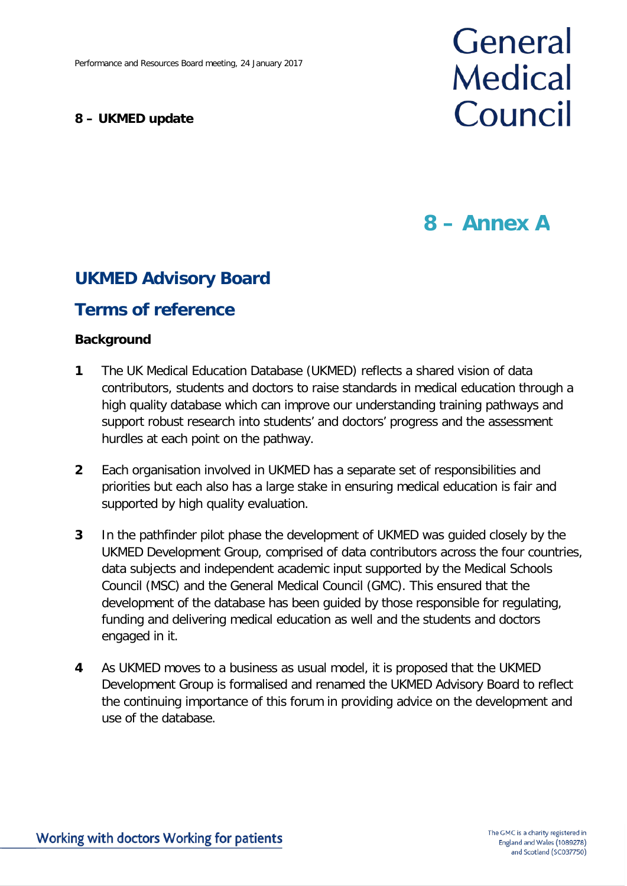#### **8 – UKMED update**

# General **Medical** Council

## **8 – Annex A**

### **UKMED Advisory Board**

### **Terms of reference**

#### **Background**

- **1** The UK Medical Education Database (UKMED) reflects a shared vision of data contributors, students and doctors to raise standards in medical education through a high quality database which can improve our understanding training pathways and support robust research into students' and doctors' progress and the assessment hurdles at each point on the pathway.
- **2** Each organisation involved in UKMED has a separate set of responsibilities and priorities but each also has a large stake in ensuring medical education is fair and supported by high quality evaluation.
- **3** In the pathfinder pilot phase the development of UKMED was guided closely by the UKMED Development Group, comprised of data contributors across the four countries, data subjects and independent academic input supported by the Medical Schools Council (MSC) and the General Medical Council (GMC). This ensured that the development of the database has been guided by those responsible for regulating, funding and delivering medical education as well and the students and doctors engaged in it.
- **4** As UKMED moves to a business as usual model, it is proposed that the UKMED Development Group is formalised and renamed the UKMED Advisory Board to reflect the continuing importance of this forum in providing advice on the development and use of the database.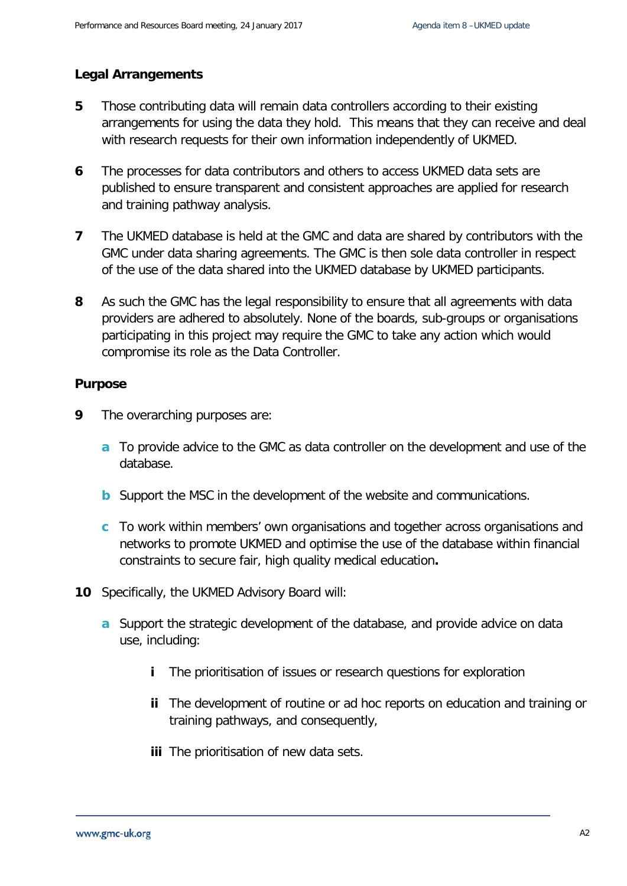#### **Legal Arrangements**

- **5** Those contributing data will remain data controllers according to their existing arrangements for using the data they hold. This means that they can receive and deal with research requests for their own information independently of UKMED.
- **6** The processes for data contributors and others to access UKMED data sets are published to ensure transparent and consistent approaches are applied for research and training pathway analysis.
- **7** The UKMED database is held at the GMC and data are shared by contributors with the GMC under data sharing agreements. The GMC is then sole data controller in respect of the use of the data shared into the UKMED database by UKMED participants.
- **8** As such the GMC has the legal responsibility to ensure that all agreements with data providers are adhered to absolutely. None of the boards, sub-groups or organisations participating in this project may require the GMC to take any action which would compromise its role as the Data Controller.

#### **Purpose**

- **9** The overarching purposes are:
	- **a** To provide advice to the GMC as data controller on the development and use of the database.
	- **b** Support the MSC in the development of the website and communications.
	- **c** To work within members' own organisations and together across organisations and networks to promote UKMED and optimise the use of the database within financial constraints to secure fair, high quality medical education**.**
- **10** Specifically, the UKMED Advisory Board will:
	- **a** Support the strategic development of the database, and provide advice on data use, including:
		- **i** The prioritisation of issues or research questions for exploration
		- **ii** The development of routine or ad hoc reports on education and training or training pathways, and consequently,
		- **iii** The prioritisation of new data sets.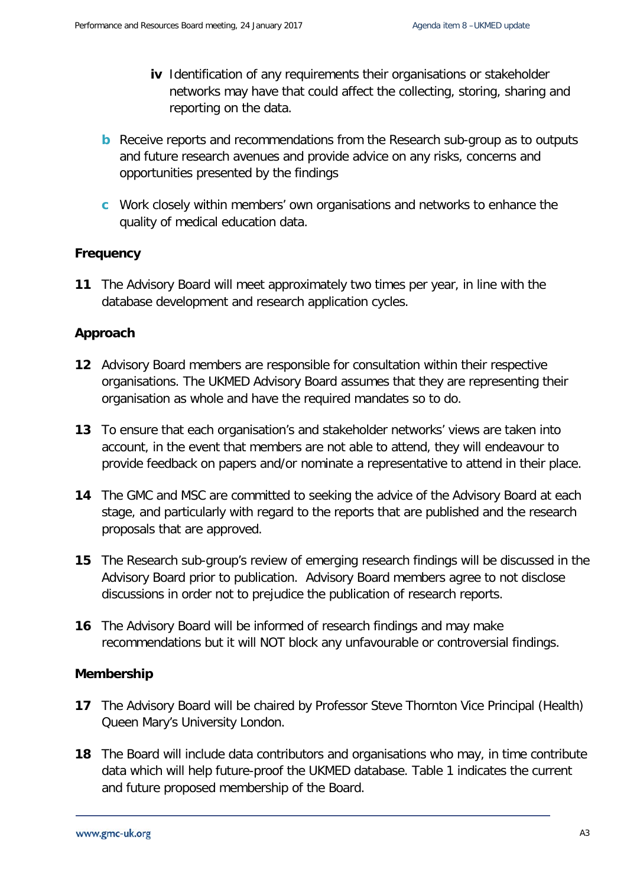- **iv** Identification of any requirements their organisations or stakeholder networks may have that could affect the collecting, storing, sharing and reporting on the data.
- **b** Receive reports and recommendations from the Research sub-group as to outputs and future research avenues and provide advice on any risks, concerns and opportunities presented by the findings
- **c** Work closely within members' own organisations and networks to enhance the quality of medical education data.

#### **Frequency**

**11** The Advisory Board will meet approximately two times per year, in line with the database development and research application cycles.

#### **Approach**

- **12** Advisory Board members are responsible for consultation within their respective organisations. The UKMED Advisory Board assumes that they are representing their organisation as whole and have the required mandates so to do.
- **13** To ensure that each organisation's and stakeholder networks' views are taken into account, in the event that members are not able to attend, they will endeavour to provide feedback on papers and/or nominate a representative to attend in their place.
- **14** The GMC and MSC are committed to seeking the advice of the Advisory Board at each stage, and particularly with regard to the reports that are published and the research proposals that are approved.
- **15** The Research sub-group's review of emerging research findings will be discussed in the Advisory Board prior to publication. Advisory Board members agree to not disclose discussions in order not to prejudice the publication of research reports.
- **16** The Advisory Board will be informed of research findings and may make recommendations but it will NOT block any unfavourable or controversial findings.

#### **Membership**

- **17** The Advisory Board will be chaired by Professor Steve Thornton Vice Principal (Health) Queen Mary's University London.
- **18** The Board will include data contributors and organisations who may, in time contribute data which will help future-proof the UKMED database. Table 1 indicates the current and future proposed membership of the Board.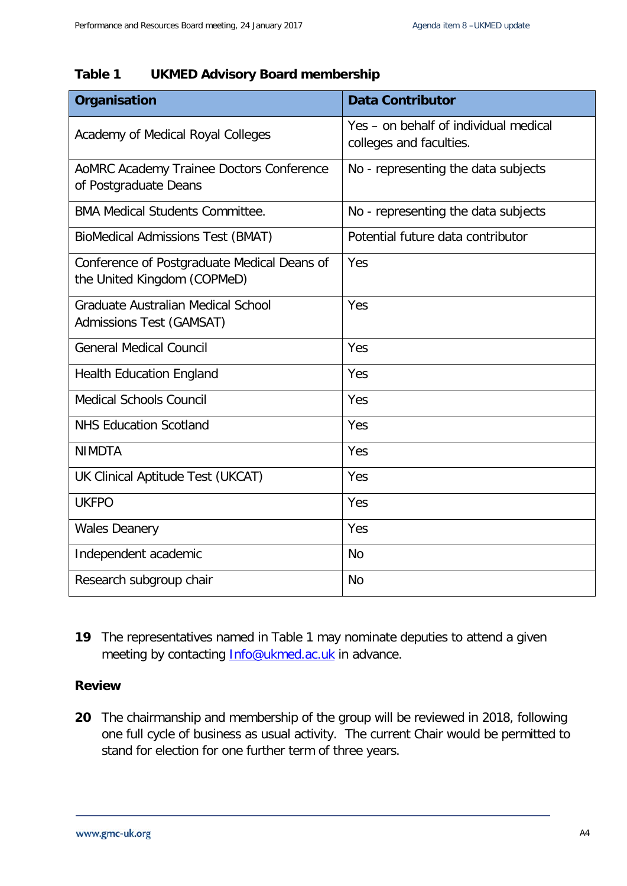#### **Table 1 UKMED Advisory Board membership**

| Organisation                                                               | <b>Data Contributor</b>                                          |
|----------------------------------------------------------------------------|------------------------------------------------------------------|
| Academy of Medical Royal Colleges                                          | Yes - on behalf of individual medical<br>colleges and faculties. |
| AoMRC Academy Trainee Doctors Conference<br>of Postgraduate Deans          | No - representing the data subjects                              |
| <b>BMA Medical Students Committee.</b>                                     | No - representing the data subjects                              |
| <b>BioMedical Admissions Test (BMAT)</b>                                   | Potential future data contributor                                |
| Conference of Postgraduate Medical Deans of<br>the United Kingdom (COPMeD) | Yes                                                              |
| Graduate Australian Medical School<br>Admissions Test (GAMSAT)             | Yes                                                              |
| <b>General Medical Council</b>                                             | Yes                                                              |
| <b>Health Education England</b>                                            | Yes                                                              |
| <b>Medical Schools Council</b>                                             | Yes                                                              |
| <b>NHS Education Scotland</b>                                              | Yes                                                              |
| <b>NIMDTA</b>                                                              | Yes                                                              |
| UK Clinical Aptitude Test (UKCAT)                                          | Yes                                                              |
| <b>UKFPO</b>                                                               | Yes                                                              |
| <b>Wales Deanery</b>                                                       | Yes                                                              |
| Independent academic                                                       | <b>No</b>                                                        |
| Research subgroup chair                                                    | <b>No</b>                                                        |

**19** The representatives named in Table 1 may nominate deputies to attend a given meeting by contacting [Info@ukmed.ac.uk](mailto:Info@ukmed.ac.uk) in advance.

#### **Review**

**20** The chairmanship and membership of the group will be reviewed in 2018, following one full cycle of business as usual activity. The current Chair would be permitted to stand for election for one further term of three years.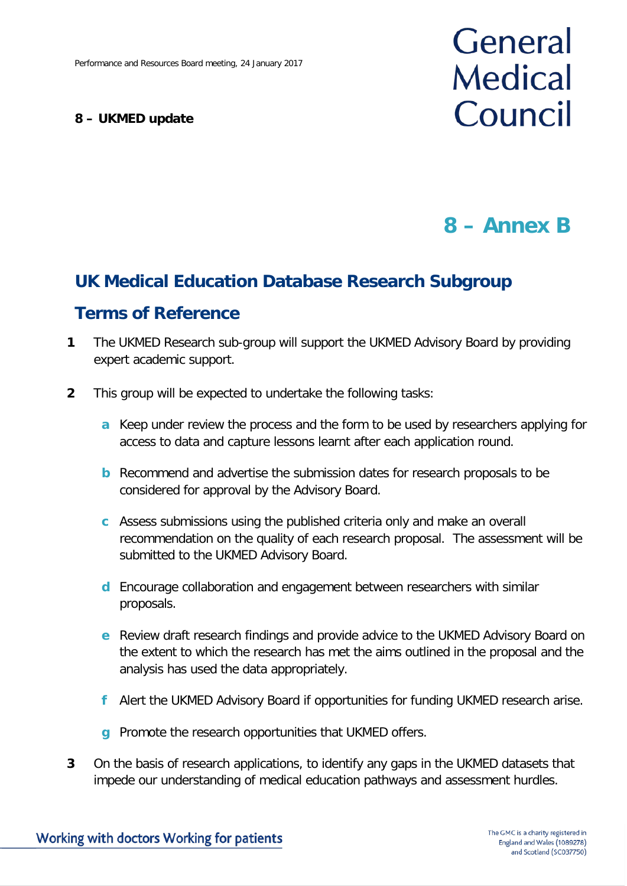#### **8 – UKMED update**

# General **Medical** Council

## **8 – Annex B**

## **UK Medical Education Database Research Subgroup**

### **Terms of Reference**

- **1** The UKMED Research sub-group will support the UKMED Advisory Board by providing expert academic support.
- **2** This group will be expected to undertake the following tasks:
	- **a** Keep under review the process and the form to be used by researchers applying for access to data and capture lessons learnt after each application round.
	- **b** Recommend and advertise the submission dates for research proposals to be considered for approval by the Advisory Board.
	- **c** Assess submissions using the published criteria only and make an overall recommendation on the quality of each research proposal. The assessment will be submitted to the UKMED Advisory Board.
	- **d** Encourage collaboration and engagement between researchers with similar proposals.
	- **e** Review draft research findings and provide advice to the UKMED Advisory Board on the extent to which the research has met the aims outlined in the proposal and the analysis has used the data appropriately.
	- **f** Alert the UKMED Advisory Board if opportunities for funding UKMED research arise.
	- **g** Promote the research opportunities that UKMED offers.
- **3** On the basis of research applications, to identify any gaps in the UKMED datasets that impede our understanding of medical education pathways and assessment hurdles.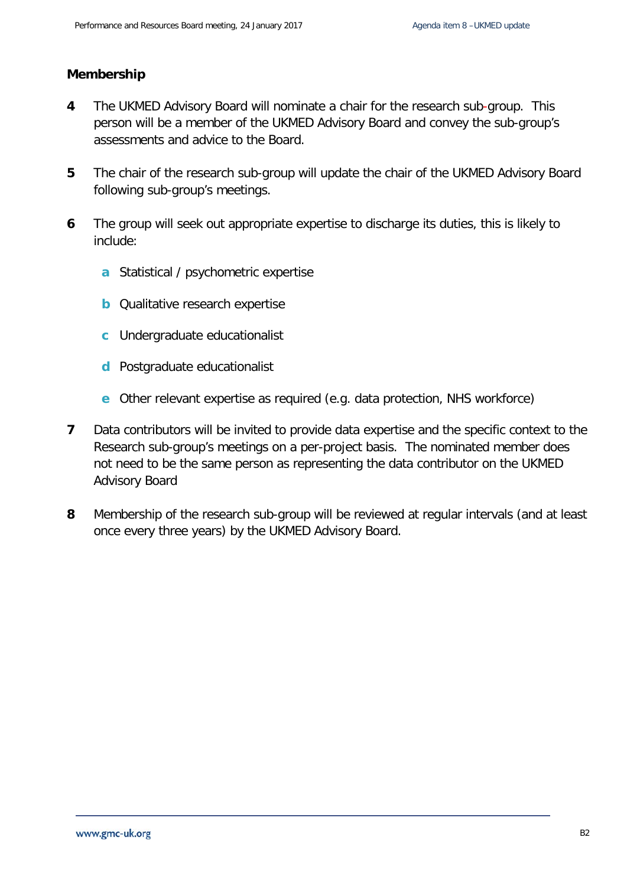#### **Membership**

- **4** The UKMED Advisory Board will nominate a chair for the research sub-group. This person will be a member of the UKMED Advisory Board and convey the sub-group's assessments and advice to the Board.
- **5** The chair of the research sub-group will update the chair of the UKMED Advisory Board following sub-group's meetings.
- **6** The group will seek out appropriate expertise to discharge its duties, this is likely to include:
	- **a** Statistical / psychometric expertise
	- **b** Qualitative research expertise
	- **c** Undergraduate educationalist
	- **d** Postgraduate educationalist
	- **e** Other relevant expertise as required (e.g. data protection, NHS workforce)
- **7** Data contributors will be invited to provide data expertise and the specific context to the Research sub-group's meetings on a per-project basis. The nominated member does not need to be the same person as representing the data contributor on the UKMED Advisory Board
- **8** Membership of the research sub-group will be reviewed at regular intervals (and at least once every three years) by the UKMED Advisory Board.